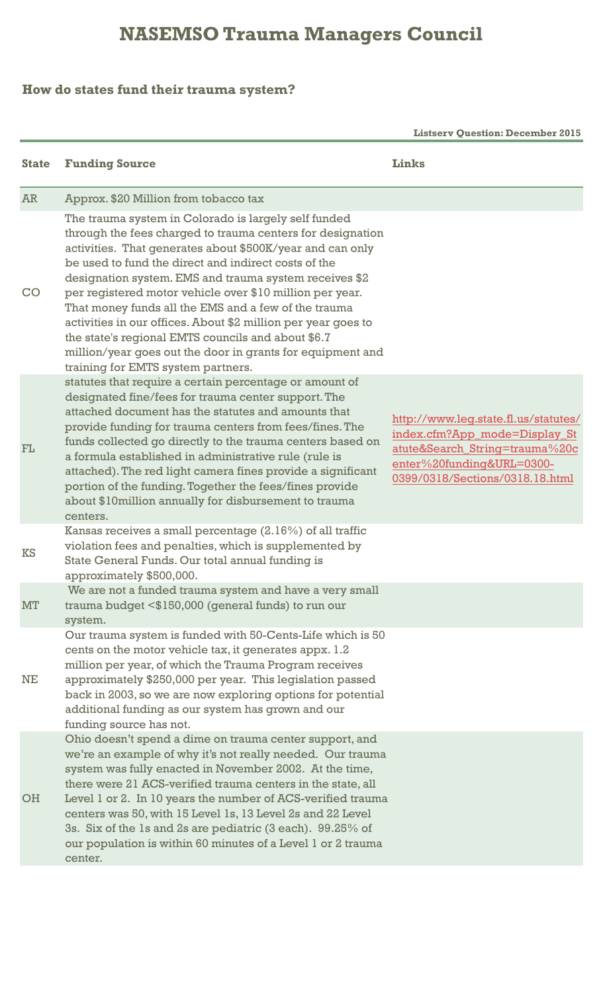## **NASEMSO Trauma Managers Council**

## **How do states fund their trauma system?**

 **Listserv Question: December 2015**

| <b>State</b> | <b>Funding Source</b>                                                                                                                                                                                                                                                                                                                                                                                                                                                                                                                                                                                                                            | Links                                                                                                                                                                   |
|--------------|--------------------------------------------------------------------------------------------------------------------------------------------------------------------------------------------------------------------------------------------------------------------------------------------------------------------------------------------------------------------------------------------------------------------------------------------------------------------------------------------------------------------------------------------------------------------------------------------------------------------------------------------------|-------------------------------------------------------------------------------------------------------------------------------------------------------------------------|
| <b>AR</b>    | Approx. \$20 Million from tobacco tax                                                                                                                                                                                                                                                                                                                                                                                                                                                                                                                                                                                                            |                                                                                                                                                                         |
| CO           | The trauma system in Colorado is largely self funded<br>through the fees charged to trauma centers for designation<br>activities. That generates about \$500K/year and can only<br>be used to fund the direct and indirect costs of the<br>designation system. EMS and trauma system receives \$2<br>per registered motor vehicle over \$10 million per year.<br>That money funds all the EMS and a few of the trauma<br>activities in our offices. About \$2 million per year goes to<br>the state's regional EMTS councils and about \$6.7<br>million/year goes out the door in grants for equipment and<br>training for EMTS system partners. |                                                                                                                                                                         |
| FL           | statutes that require a certain percentage or amount of<br>designated fine/fees for trauma center support. The<br>attached document has the statutes and amounts that<br>provide funding for trauma centers from fees/fines. The<br>funds collected go directly to the trauma centers based on<br>a formula established in administrative rule (rule is<br>attached). The red light camera fines provide a significant<br>portion of the funding. Together the fees/fines provide<br>about \$10 million annually for disbursement to trauma<br>centers.                                                                                          | http://www.leg.state.fl.us/statutes/<br>index.cfm?App_mode=Display_St<br>atute&Search_String=trauma%20c<br>enter%20funding&URL=0300-<br>0399/0318/Sections/0318.18.html |
| <b>KS</b>    | Kansas receives a small percentage $(2.16\%)$ of all traffic<br>violation fees and penalties, which is supplemented by<br>State General Funds. Our total annual funding is<br>approximately \$500,000.                                                                                                                                                                                                                                                                                                                                                                                                                                           |                                                                                                                                                                         |
| MT           | We are not a funded trauma system and have a very small<br>trauma budget <\$150,000 (general funds) to run our<br>system.                                                                                                                                                                                                                                                                                                                                                                                                                                                                                                                        |                                                                                                                                                                         |
| NE           | Our trauma system is funded with 50-Cents-Life which is 50<br>cents on the motor vehicle tax, it generates appx. 1.2<br>million per year, of which the Trauma Program receives<br>approximately \$250,000 per year. This legislation passed<br>back in 2003, so we are now exploring options for potential<br>additional funding as our system has grown and our<br>funding source has not.                                                                                                                                                                                                                                                      |                                                                                                                                                                         |
| <b>OH</b>    | Ohio doesn't spend a dime on trauma center support, and<br>we're an example of why it's not really needed. Our trauma<br>system was fully enacted in November 2002. At the time,<br>there were 21 ACS-verified trauma centers in the state, all<br>Level 1 or 2. In 10 years the number of ACS-verified trauma<br>centers was 50, with 15 Level 1s, 13 Level 2s and 22 Level<br>3s. Six of the 1s and 2s are pediatric (3 each). 99.25% of<br>our population is within 60 minutes of a Level 1 or 2 trauma<br>center.                                                                                                                            |                                                                                                                                                                         |